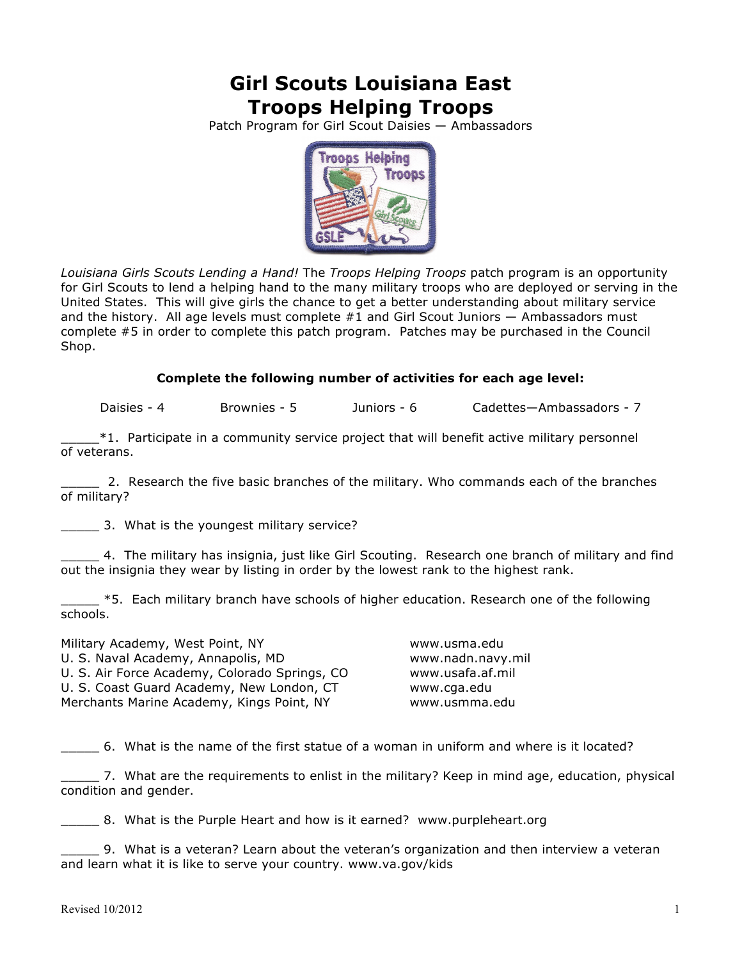## **Girl Scouts Louisiana East Troops Helping Troops**

Patch Program for Girl Scout Daisies — Ambassadors



*Louisiana Girls Scouts Lending a Hand!* The *Troops Helping Troops* patch program is an opportunity for Girl Scouts to lend a helping hand to the many military troops who are deployed or serving in the United States. This will give girls the chance to get a better understanding about military service and the history. All age levels must complete  $#1$  and Girl Scout Juniors  $-$  Ambassadors must complete #5 in order to complete this patch program. Patches may be purchased in the Council Shop.

## **Complete the following number of activities for each age level:**

Daisies - 4 Brownies - 5 Juniors - 6 Cadettes—Ambassadors - 7

 $*1$ . Participate in a community service project that will benefit active military personnel of veterans.

2. Research the five basic branches of the military. Who commands each of the branches of military?

\_\_\_\_\_ 3. What is the youngest military service?

4. The military has insignia, just like Girl Scouting. Research one branch of military and find out the insignia they wear by listing in order by the lowest rank to the highest rank.

 $-$  \*5. Each military branch have schools of higher education. Research one of the following schools.

Military Academy, West Point, NY Washington Musuma.edu U. S. Naval Academy, Annapolis, MD www.nadn.navy.mil U. S. Air Force Academy, Colorado Springs, CO www.usafa.af.mil U. S. Coast Guard Academy, New London, CT www.cga.edu Merchants Marine Academy, Kings Point, NY www.usmma.edu

\_\_\_\_\_ 6. What is the name of the first statue of a woman in uniform and where is it located?

\_\_\_\_\_ 7. What are the requirements to enlist in the military? Keep in mind age, education, physical condition and gender.

\_\_\_\_\_ 8. What is the Purple Heart and how is it earned? www.purpleheart.org

9. What is a veteran? Learn about the veteran's organization and then interview a veteran and learn what it is like to serve your country. www.va.gov/kids